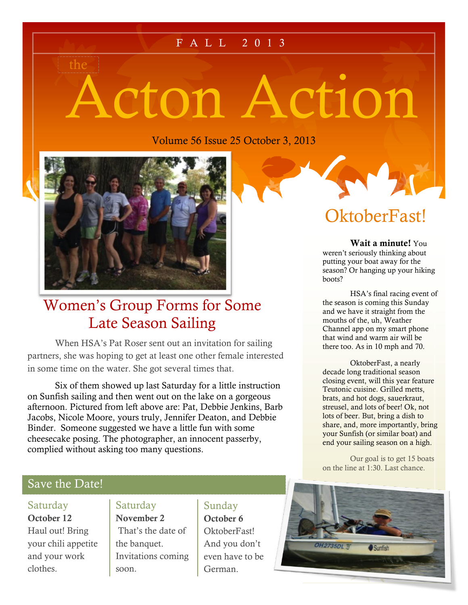## F A L L 2 0 1 3

# Acton Action

Volume 56 Issue 25 October 3, 2013



the

# Women's Group Forms for Some Late Season Sailing

When HSA's Pat Roser sent out an invitation for sailing partners, she was hoping to get at least one other female interested in some time on the water. She got several times that.

Six of them showed up last Saturday for a little instruction on Sunfish sailing and then went out on the lake on a gorgeous afternoon. Pictured from left above are: Pat, Debbie Jenkins, Barb Jacobs, Nicole Moore, yours truly, Jennifer Deaton, and Debbie Binder. Someone suggested we have a little fun with some cheesecake posing. The photographer, an innocent passerby, complied without asking too many questions.

# OktoberFast!

**Wait a minute!** You weren't seriously thinking about putting your boat away for the season? Or hanging up your hiking boots?

HSA's final racing event of the season is coming this Sunday and we have it straight from the mouths of the, uh, Weather Channel app on my smart phone that wind and warm air will be there too. As in 10 mph and 70.

OktoberFast, a nearly decade long traditional season closing event, will this year feature Teutonic cuisine. Grilled metts, brats, and hot dogs, sauerkraut, streusel, and lots of beer! Ok, not lots of beer. But, bring a dish to share, and, more importantly, bring your Sunfish (or similar boat) and end your sailing season on a high.

Our goal is to get 15 boats on the line at 1:30. Last chance.

### Save the Date!

### Saturday

**October 12** Haul out! Bring your chili appetite and your work clothes.

# Saturday

**November 2** That's the date of the banquet. Invitations coming soon.

# Sunday

**October 6** OktoberFast! And you don't even have to be German.

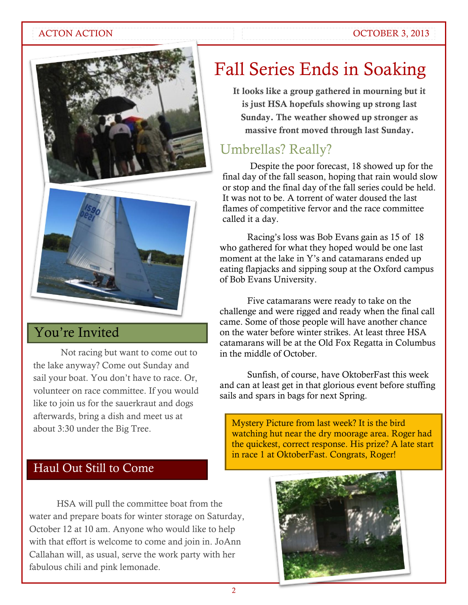### ACTON ACTION **OCTOBER 3, 2013**





# You're Invited

Not racing but want to come out to the lake anyway? Come out Sunday and sail your boat. You don't have to race. Or, volunteer on race committee. If you would like to join us for the sauerkraut and dogs afterwards, bring a dish and meet us at about 3:30 under the Big Tree.

# Fall Series Ends in Soaking

**It looks like a group gathered in mourning but it is just HSA hopefuls showing up strong last Sunday. The weather showed up stronger as massive front moved through last Sunday.**

# Umbrellas? Really?

Despite the poor forecast, 18 showed up for the final day of the fall season, hoping that rain would slow or stop and the final day of the fall series could be held. It was not to be. A torrent of water doused the last flames of competitive fervor and the race committee called it a day.

Racing's loss was Bob Evans gain as 15 of 18 who gathered for what they hoped would be one last moment at the lake in Y's and catamarans ended up eating flapjacks and sipping soup at the Oxford campus of Bob Evans University.

Five catamarans were ready to take on the challenge and were rigged and ready when the final call came. Some of those people will have another chance on the water before winter strikes. At least three HSA catamarans will be at the Old Fox Regatta in Columbus in the middle of October.

Sunfish, of course, have OktoberFast this week and can at least get in that glorious event before stuffing sails and spars in bags for next Spring.

Mystery Picture from last week? It is the bird watching hut near the dry moorage area. Roger had the quickest, correct response. His prize? A late start in race 1 at OktoberFast. Congrats, Roger!

# Haul Out Still to Come

HSA will pull the committee boat from the water and prepare boats for winter storage on Saturday, October 12 at 10 am. Anyone who would like to help with that effort is welcome to come and join in. JoAnn Callahan will, as usual, serve the work party with her fabulous chili and pink lemonade.